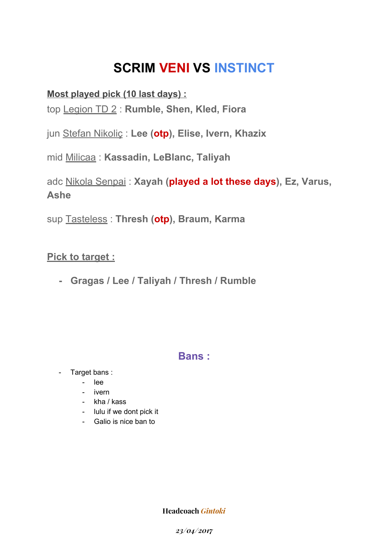## **SCRIM VENI VS INSTINCT**

#### **Most played pick (10 last days) :**

top Legion TD 2 : **Rumble, Shen, Kled, Fiora**

jun Stefan Nikoliç : **Lee (otp), Elise, Ivern, Khazix**

mid Milicaa : **Kassadin, LeBlanc, Taliyah**

adc Nikola Senpai : **Xayah (played a lot these days), Ez, Varus, Ashe**

sup Tasteless : **Thresh (otp), Braum, Karma**

#### **Pick to target :**

**- Gragas / Lee / Taliyah / Thresh / Rumble**

### **Bans :**

- Target bans :
	- lee
	- ivern
	- kha / kass
	- lulu if we dont pick it
	- Galio is nice ban to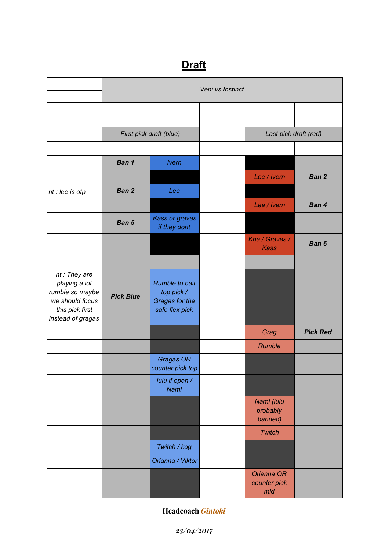## **Draft**

|                                                                                                             | Veni vs Instinct        |                                                                         |  |                                   |                 |  |  |  |
|-------------------------------------------------------------------------------------------------------------|-------------------------|-------------------------------------------------------------------------|--|-----------------------------------|-----------------|--|--|--|
|                                                                                                             |                         |                                                                         |  |                                   |                 |  |  |  |
|                                                                                                             |                         |                                                                         |  |                                   |                 |  |  |  |
|                                                                                                             | First pick draft (blue) |                                                                         |  | Last pick draft (red)             |                 |  |  |  |
|                                                                                                             |                         |                                                                         |  |                                   |                 |  |  |  |
|                                                                                                             | Ban 1                   | <b>Ivern</b>                                                            |  |                                   |                 |  |  |  |
|                                                                                                             |                         |                                                                         |  | Lee / Ivern                       | Ban 2           |  |  |  |
| nt : lee is otp                                                                                             | Ban 2                   | Lee                                                                     |  |                                   |                 |  |  |  |
|                                                                                                             |                         |                                                                         |  | Lee / Ivern                       | Ban 4           |  |  |  |
|                                                                                                             | Ban 5                   | <b>Kass or graves</b><br>if they dont                                   |  |                                   |                 |  |  |  |
|                                                                                                             |                         |                                                                         |  | Kha / Graves /<br><b>Kass</b>     | Ban 6           |  |  |  |
|                                                                                                             |                         |                                                                         |  |                                   |                 |  |  |  |
| nt: They are<br>playing a lot<br>rumble so maybe<br>we should focus<br>this pick first<br>instead of gragas | <b>Pick Blue</b>        | <b>Rumble to bait</b><br>top pick /<br>Gragas for the<br>safe flex pick |  |                                   |                 |  |  |  |
|                                                                                                             |                         |                                                                         |  | Grag                              | <b>Pick Red</b> |  |  |  |
|                                                                                                             |                         |                                                                         |  | Rumble                            |                 |  |  |  |
|                                                                                                             |                         | Gragas OR<br>counter pick top                                           |  |                                   |                 |  |  |  |
|                                                                                                             |                         | lulu if open /<br>Nami                                                  |  |                                   |                 |  |  |  |
|                                                                                                             |                         |                                                                         |  | Nami (lulu<br>probably<br>banned) |                 |  |  |  |
|                                                                                                             |                         |                                                                         |  | <b>Twitch</b>                     |                 |  |  |  |
|                                                                                                             |                         | Twitch / kog                                                            |  |                                   |                 |  |  |  |
|                                                                                                             |                         | Orianna / Viktor                                                        |  |                                   |                 |  |  |  |
|                                                                                                             |                         |                                                                         |  | Orianna OR<br>counter pick<br>mid |                 |  |  |  |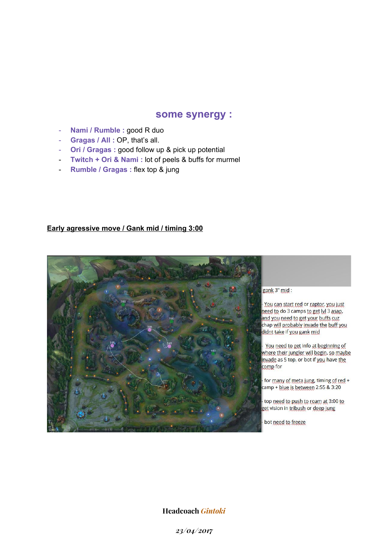#### **some synergy :**

- **Nami / Rumble :** good R duo
- **Gragas / All :** OP, that's all.
- **Ori / Gragas :** good follow up & pick up potential
- **Twitch + Ori & Nami :** lot of peels & buffs for murmel
- **Rumble / Gragas :** flex top & jung

#### **Early agressive move / Gank mid / timing 3:00**



#### gank 3" mid:

You can start red or raptor, you just need to do 3 camps to get lvl 3 asap, and you need to get your buffs cuz chap will probably invade the buff you didnt take if you gank mid

You need to get info at beginning of where their jungler will begin, so maybe invade as 5 top, or bot if you have the  $\frac{1}{2}$  comp for

for many of meta jung, timing of red + camp + blue is between 2:55 & 3:20

top need to push to roam at 3:00 to get vision in tribush or deep jung

bot need to freeze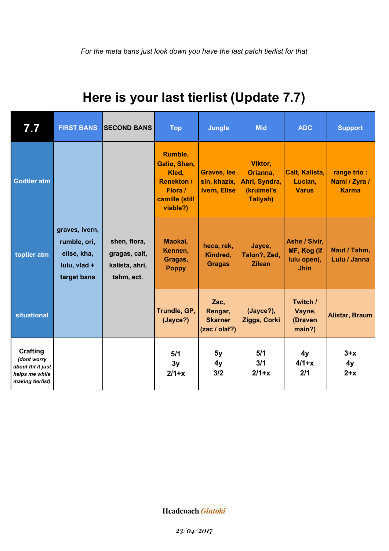## **Here is your last tierlist (Update 7.7)**

| 7.7                                                                                       | <b>FIRST BANS</b>                                                            | <b>SECOND BANS</b>                                            | <b>Top</b>                                                                                     | <b>Jungle</b>                                      | <b>Mid</b>                                                            | <b>ADC</b>                                                 | <b>Support</b>                               |
|-------------------------------------------------------------------------------------------|------------------------------------------------------------------------------|---------------------------------------------------------------|------------------------------------------------------------------------------------------------|----------------------------------------------------|-----------------------------------------------------------------------|------------------------------------------------------------|----------------------------------------------|
| <b>Godtier atm</b>                                                                        |                                                                              |                                                               | Rumble,<br>Galio, Shen,<br>Kled,<br><b>Renekton /</b><br>Fiora /<br>camille (still<br>viable?) | <b>Graves, lee</b><br>sin, khazix,<br>ivern, Elise | Viktor,<br>Orianna,<br>Ahri, Syndra,<br>(kruimel's<br><b>Taliyah)</b> | Cait, Kalista,<br>Lucian,<br><b>Varus</b>                  | range trio:<br>Nami / Zyra /<br><b>Karma</b> |
| toptier atm                                                                               | graves, ivern,<br>rumble, ori,<br>elise, kha,<br>lulu, vlad +<br>target bans | shen, fiora,<br>gragas, cait,<br>kalista, ahri,<br>tahm, ect. | Maokai,<br>Kennen,<br>Gragas,<br><b>Poppy</b>                                                  | heca, rek,<br>Kindred,<br><b>Gragas</b>            | Jayce,<br>Talon?, Zed,<br><b>Zilean</b>                               | Ashe / Sivir,<br>MF, Kog (if<br>lulu open),<br><b>Jhin</b> | Naut / Tahm,<br>Lulu / Janna                 |
| <b>situational</b>                                                                        |                                                                              |                                                               | Trundle, GP,<br>(Jayce?)                                                                       | Zac,<br>Rengar,<br><b>Skarner</b><br>(zac / olaf?) | (Jayce?),<br>Ziggs, Corki                                             | Twitch /<br>Vayne,<br>(Draven<br>main?)                    | <b>Alistar, Braum</b>                        |
| <b>Crafting</b><br>(dont worry<br>about tht it just<br>helps me while<br>making tierlist) |                                                                              |                                                               | 5/1<br>3y<br>$2/1+x$                                                                           | 5y<br>4y<br>3/2                                    | 5/1<br>3/1<br>$2/1+x$                                                 | 4y<br>$4/1+x$<br>2/1                                       | $3+x$<br>4y<br>$2+x$                         |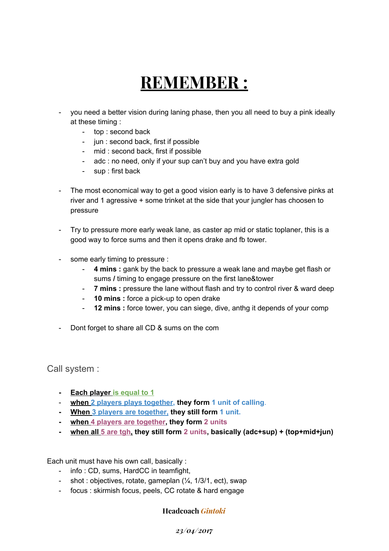# **REMEMBER :**

- you need a better vision during laning phase, then you all need to buy a pink ideally at these timing :
	- top : second back
	- jun : second back, first if possible
	- mid : second back, first if possible
	- adc : no need, only if your sup can't buy and you have extra gold
	- sup : first back
- The most economical way to get a good vision early is to have 3 defensive pinks at river and 1 agressive + some trinket at the side that your jungler has choosen to pressure
- Try to pressure more early weak lane, as caster ap mid or static toplaner, this is a good way to force sums and then it opens drake and fb tower.
- some early timing to pressure :
	- **4 mins :** gank by the back to pressure a weak lane and maybe get flash or sums **/** timing to engage pressure on the first lane&tower
	- **7 mins :** pressure the lane without flash and try to control river & ward deep
	- **10 mins :** force a pick-up to open drake
	- **12 mins :** force tower, you can siege, dive, anthg it depends of your comp
- Dont forget to share all CD & sums on the com

Call system :

- **- Each player is equal to 1**
- **when 2 players plays together, they form 1 unit of calling**.
- **- When 3 players are together, they still form 1 unit.**
- **- when 4 players are together, they form 2 units**
- **- when all 5 are tgh, they still form 2 units, basically (adc+sup) + (top+mid+jun)**

Each unit must have his own call, basically :

- info : CD, sums, HardCC in teamfight,
- shot : objectives, rotate, gameplan (¼, 1/3/1, ect), swap
- focus : skirmish focus, peels, CC rotate & hard engage

**Headcoach** *Gintoki*

*23/04/2017*